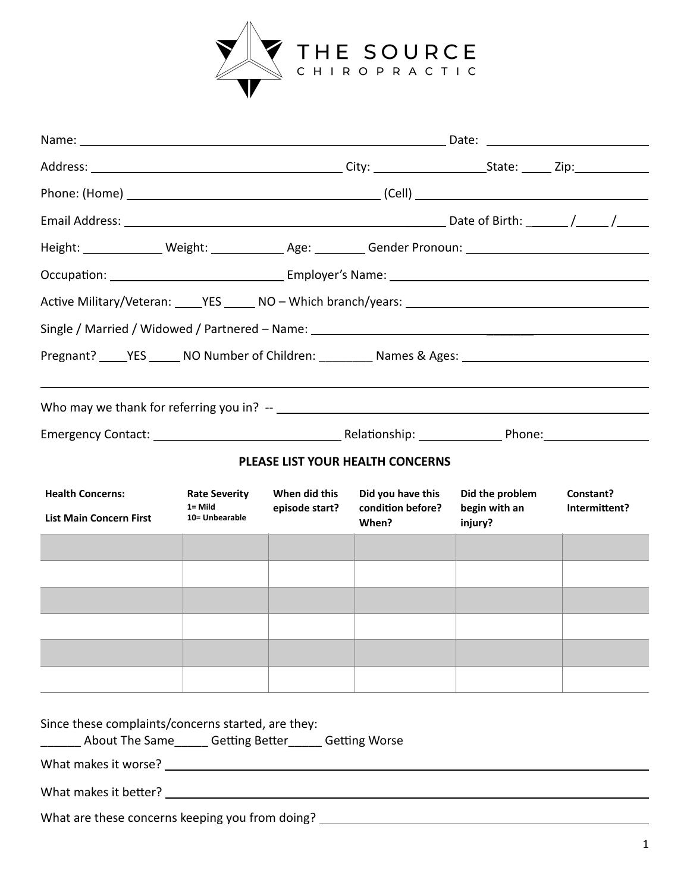

| Height: ______________ Weight: ______________ Age: _________ Gender Pronoun: ________________________________                                                                                                                                                                                                                                       |                                                                                                  |  |                                        |                                             |                            |
|-----------------------------------------------------------------------------------------------------------------------------------------------------------------------------------------------------------------------------------------------------------------------------------------------------------------------------------------------------|--------------------------------------------------------------------------------------------------|--|----------------------------------------|---------------------------------------------|----------------------------|
|                                                                                                                                                                                                                                                                                                                                                     |                                                                                                  |  |                                        |                                             |                            |
|                                                                                                                                                                                                                                                                                                                                                     |                                                                                                  |  |                                        |                                             |                            |
|                                                                                                                                                                                                                                                                                                                                                     |                                                                                                  |  |                                        |                                             |                            |
| Pregnant? _____YES ______ NO Number of Children: __________ Names & Ages: __________________________                                                                                                                                                                                                                                                |                                                                                                  |  |                                        |                                             |                            |
|                                                                                                                                                                                                                                                                                                                                                     |                                                                                                  |  |                                        |                                             |                            |
|                                                                                                                                                                                                                                                                                                                                                     |                                                                                                  |  |                                        |                                             |                            |
|                                                                                                                                                                                                                                                                                                                                                     |                                                                                                  |  |                                        |                                             |                            |
|                                                                                                                                                                                                                                                                                                                                                     |                                                                                                  |  | PLEASE LIST YOUR HEALTH CONCERNS       |                                             |                            |
| <b>Health Concerns:</b><br><b>List Main Concern First</b>                                                                                                                                                                                                                                                                                           | <b>Rate Severity</b><br>When did this<br>$1 =$ Mild<br>episode start?<br>10= Unbearable<br>When? |  | Did you have this<br>condition before? | Did the problem<br>begin with an<br>injury? | Constant?<br>Intermittent? |
|                                                                                                                                                                                                                                                                                                                                                     |                                                                                                  |  |                                        |                                             |                            |
|                                                                                                                                                                                                                                                                                                                                                     |                                                                                                  |  |                                        |                                             |                            |
|                                                                                                                                                                                                                                                                                                                                                     |                                                                                                  |  |                                        |                                             |                            |
|                                                                                                                                                                                                                                                                                                                                                     |                                                                                                  |  |                                        |                                             |                            |
|                                                                                                                                                                                                                                                                                                                                                     |                                                                                                  |  |                                        |                                             |                            |
|                                                                                                                                                                                                                                                                                                                                                     |                                                                                                  |  |                                        |                                             |                            |
| Since these complaints/concerns started, are they:<br>_____ About The Same_____ Getting Better_____ Getting Worse<br>What makes it worse? Notice and the set of the set of the set of the set of the set of the set of the set of the set of the set of the set of the set of the set of the set of the set of the set of the set of the set of the |                                                                                                  |  |                                        |                                             |                            |
|                                                                                                                                                                                                                                                                                                                                                     |                                                                                                  |  |                                        |                                             |                            |
|                                                                                                                                                                                                                                                                                                                                                     |                                                                                                  |  |                                        |                                             |                            |

What are these concerns keeping you from doing? \_\_\_\_\_\_\_\_\_\_\_\_\_\_\_\_\_\_\_\_\_\_\_\_\_\_\_\_\_\_\_\_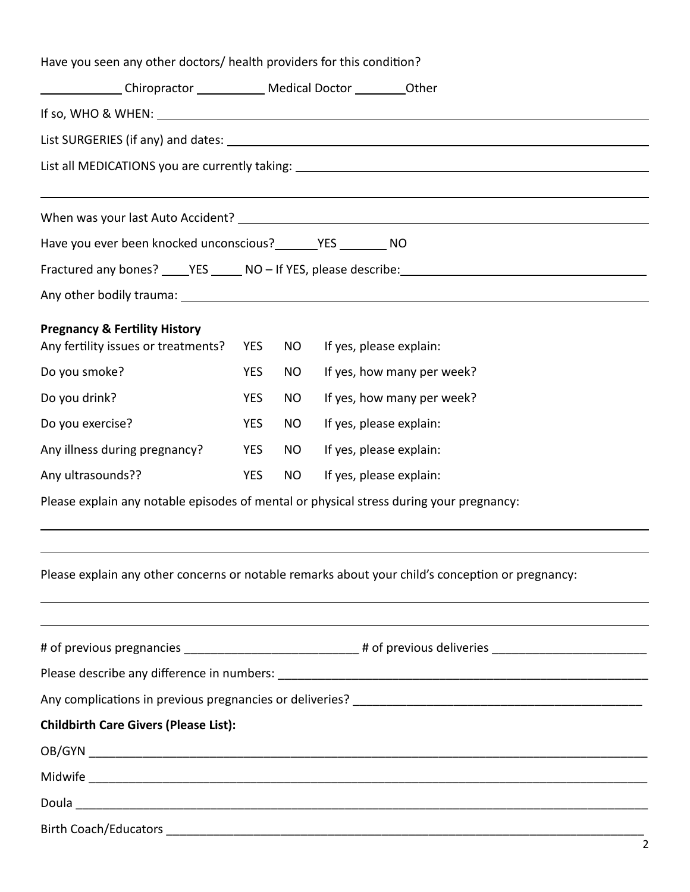| Have you seen any other doctors/ health providers for this condition?                                          |            |           |                                                                                                                                                                                                                                  |  |  |
|----------------------------------------------------------------------------------------------------------------|------------|-----------|----------------------------------------------------------------------------------------------------------------------------------------------------------------------------------------------------------------------------------|--|--|
| _________________Chiropractor ________________ Medical Doctor ____________Other                                |            |           |                                                                                                                                                                                                                                  |  |  |
|                                                                                                                |            |           | If so, WHO & WHEN: $\sqrt{2\pi}$ MeV and the set of the set of the set of the set of the set of the set of the set of the set of the set of the set of the set of the set of the set of the set of the set of the set of the set |  |  |
|                                                                                                                |            |           |                                                                                                                                                                                                                                  |  |  |
|                                                                                                                |            |           |                                                                                                                                                                                                                                  |  |  |
|                                                                                                                |            |           |                                                                                                                                                                                                                                  |  |  |
|                                                                                                                |            |           |                                                                                                                                                                                                                                  |  |  |
| Have you ever been knocked unconscious? _________ YES _________ NO                                             |            |           |                                                                                                                                                                                                                                  |  |  |
|                                                                                                                |            |           | Fractured any bones? _____YES ______ NO - If YES, please describe: _________________________________                                                                                                                             |  |  |
|                                                                                                                |            |           |                                                                                                                                                                                                                                  |  |  |
| <b>Pregnancy &amp; Fertility History</b>                                                                       |            |           |                                                                                                                                                                                                                                  |  |  |
| Any fertility issues or treatments?                                                                            | <b>YES</b> | NO        | If yes, please explain:                                                                                                                                                                                                          |  |  |
| Do you smoke?                                                                                                  | <b>YES</b> | <b>NO</b> | If yes, how many per week?                                                                                                                                                                                                       |  |  |
| Do you drink?                                                                                                  | <b>YES</b> | <b>NO</b> | If yes, how many per week?                                                                                                                                                                                                       |  |  |
| Do you exercise?                                                                                               | <b>YES</b> | <b>NO</b> | If yes, please explain:                                                                                                                                                                                                          |  |  |
| Any illness during pregnancy?                                                                                  | <b>YES</b> | <b>NO</b> | If yes, please explain:                                                                                                                                                                                                          |  |  |
| Any ultrasounds??                                                                                              | <b>YES</b> | <b>NO</b> | If yes, please explain:                                                                                                                                                                                                          |  |  |
|                                                                                                                |            |           | Please explain any notable episodes of mental or physical stress during your pregnancy:                                                                                                                                          |  |  |
|                                                                                                                |            |           |                                                                                                                                                                                                                                  |  |  |
|                                                                                                                |            |           | Please explain any other concerns or notable remarks about your child's conception or pregnancy:                                                                                                                                 |  |  |
|                                                                                                                |            |           |                                                                                                                                                                                                                                  |  |  |
| # of previous pregnancies _______________________________# of previous deliveries ____________________________ |            |           |                                                                                                                                                                                                                                  |  |  |
|                                                                                                                |            |           |                                                                                                                                                                                                                                  |  |  |
|                                                                                                                |            |           |                                                                                                                                                                                                                                  |  |  |
| <b>Childbirth Care Givers (Please List):</b>                                                                   |            |           |                                                                                                                                                                                                                                  |  |  |
|                                                                                                                |            |           |                                                                                                                                                                                                                                  |  |  |
|                                                                                                                |            |           |                                                                                                                                                                                                                                  |  |  |
|                                                                                                                |            |           |                                                                                                                                                                                                                                  |  |  |
|                                                                                                                |            |           |                                                                                                                                                                                                                                  |  |  |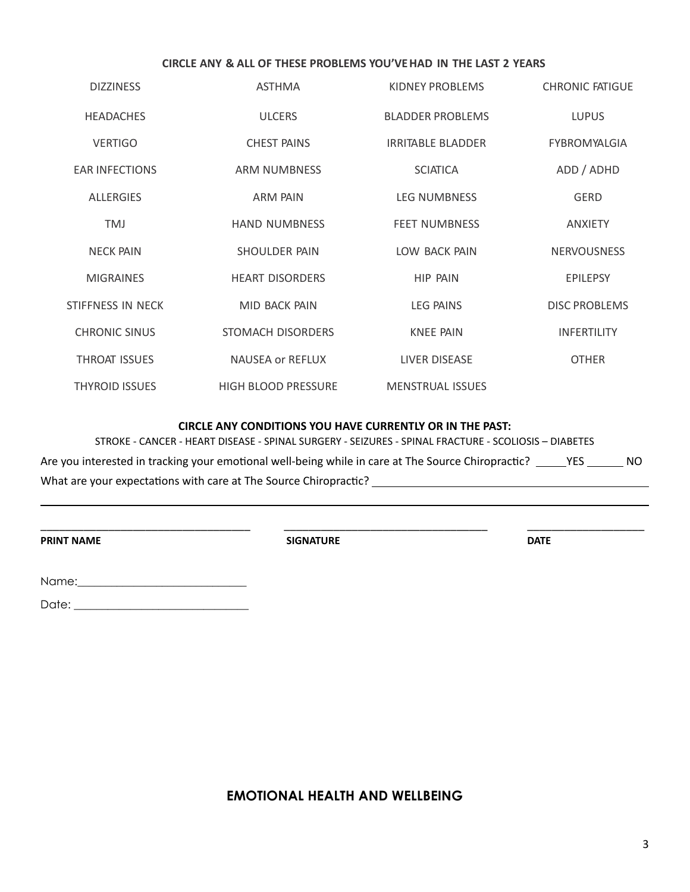## **CIRCLE ANY & ALL OF THESE PROBLEMS YOU'VEHAD IN THE LAST 2 YEARS**

| <b>DIZZINESS</b>      | <b>ASTHMA</b>              | KIDNEY PROBLEMS          | <b>CHRONIC FATIGUE</b> |
|-----------------------|----------------------------|--------------------------|------------------------|
| <b>HEADACHES</b>      | <b>ULCERS</b>              | <b>BLADDER PROBLEMS</b>  | <b>LUPUS</b>           |
| <b>VERTIGO</b>        | <b>CHEST PAINS</b>         | <b>IRRITABLE BLADDER</b> | <b>FYBROMYALGIA</b>    |
| <b>EAR INFECTIONS</b> | <b>ARM NUMBNESS</b>        | <b>SCIATICA</b>          | ADD / ADHD             |
| <b>ALLERGIES</b>      | ARM PAIN                   | <b>LEG NUMBNESS</b>      | <b>GERD</b>            |
| <b>TMJ</b>            | <b>HAND NUMBNESS</b>       | <b>FEET NUMBNESS</b>     | <b>ANXIETY</b>         |
| <b>NECK PAIN</b>      | SHOULDER PAIN              | LOW BACK PAIN            | <b>NERVOUSNESS</b>     |
| <b>MIGRAINES</b>      | <b>HEART DISORDERS</b>     | HIP PAIN                 | <b>EPILEPSY</b>        |
| STIFFNESS IN NECK     | MID BACK PAIN              | <b>LEG PAINS</b>         | <b>DISC PROBLEMS</b>   |
| <b>CHRONIC SINUS</b>  | STOMACH DISORDERS          | <b>KNEE PAIN</b>         | <b>INFERTILITY</b>     |
| <b>THROAT ISSUES</b>  | <b>NAUSEA or REFLUX</b>    | LIVER DISEASE            | <b>OTHER</b>           |
| <b>THYROID ISSUES</b> | <b>HIGH BLOOD PRESSURE</b> | MENSTRUAL ISSUES         |                        |
|                       |                            |                          |                        |

## **CIRCLE ANY CONDITIONS YOU HAVE CURRENTLY OR IN THE PAST:**

STROKE - CANCER - HEART DISEASE - SPINAL SURGERY - SEIZURES - SPINAL FRACTURE - SCOLIOSIS – DIABETES Are you interested in tracking your emotional well-being while in care at The Source Chiropractic? \_\_\_\_\_YES \_\_\_\_\_\_ NO What are your expectations with care at The Source Chiropractic?

\_\_\_\_\_\_\_\_\_\_\_\_\_\_\_\_\_\_\_\_\_\_\_\_\_\_\_\_\_\_\_\_\_\_ \_\_\_\_\_\_\_\_\_\_\_\_\_\_\_\_\_\_\_\_\_\_\_\_\_\_\_\_\_\_\_\_\_ \_\_\_\_\_\_\_\_\_\_\_\_\_\_\_\_\_\_\_

**PRINT NAME** DATE

Name:\_\_\_\_\_\_\_\_\_\_\_\_\_\_\_\_\_\_\_\_\_\_\_\_\_\_\_\_\_\_

Date: \_\_\_\_\_\_\_\_\_\_\_\_\_\_\_\_\_\_\_\_\_\_\_\_\_\_\_\_\_\_\_

# **EMOTIONAL HEALTH AND WELLBEING**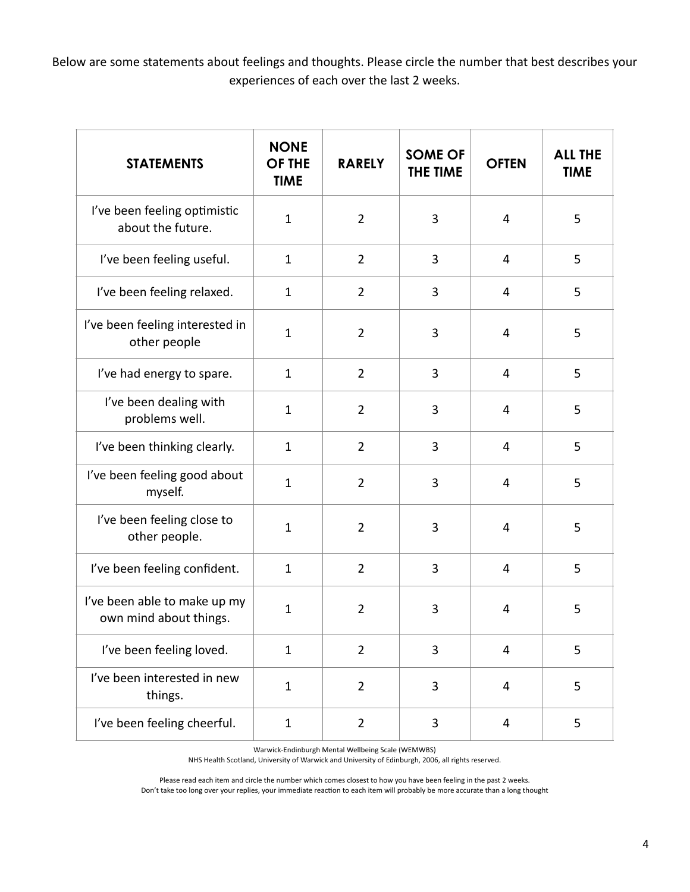Below are some statements about feelings and thoughts. Please circle the number that best describes your experiences of each over the last 2 weeks.

| <b>STATEMENTS</b>                                      | <b>NONE</b><br>OF THE<br><b>TIME</b> | <b>RARELY</b>  | <b>SOME OF</b><br>THE TIME | <b>OFTEN</b> | <b>ALL THE</b><br><b>TIME</b> |
|--------------------------------------------------------|--------------------------------------|----------------|----------------------------|--------------|-------------------------------|
| I've been feeling optimistic<br>about the future.      | $\mathbf{1}$                         | $\overline{2}$ | 3                          | 4            | 5                             |
| I've been feeling useful.                              | $\mathbf{1}$                         | $\overline{2}$ | 3                          | 4            | 5                             |
| I've been feeling relaxed.                             | $\mathbf{1}$                         | $\overline{2}$ | 3                          | 4            | 5                             |
| I've been feeling interested in<br>other people        | $\mathbf{1}$                         | $\overline{2}$ | 3                          | 4            | 5                             |
| I've had energy to spare.                              | $\mathbf{1}$                         | $\overline{2}$ | 3                          | 4            | 5                             |
| I've been dealing with<br>problems well.               | $\mathbf{1}$                         | $\overline{2}$ | 3                          | 4            | 5                             |
| I've been thinking clearly.                            | $\mathbf 1$                          | $\overline{2}$ | 3                          | 4            | 5                             |
| I've been feeling good about<br>myself.                | $\mathbf{1}$                         | $\overline{2}$ | 3                          | 4            | 5                             |
| I've been feeling close to<br>other people.            | $\mathbf{1}$                         | $\overline{2}$ | 3                          | 4            | 5                             |
| I've been feeling confident.                           | $\mathbf{1}$                         | $\overline{2}$ | 3                          | 4            | 5                             |
| I've been able to make up my<br>own mind about things. | $\mathbf{1}$                         | $\overline{2}$ | 3                          | 4            | 5                             |
| I've been feeling loved.                               | $\mathbf{1}$                         | $\overline{2}$ | 3                          | 4            | 5                             |
| I've been interested in new<br>things.                 | $\mathbf{1}$                         | $\overline{2}$ | 3                          | 4            | 5                             |
| I've been feeling cheerful.                            | $\mathbf{1}$                         | $\overline{2}$ | 3                          | 4            | 5                             |

Warwick-Endinburgh Mental Wellbeing Scale (WEMWBS)

NHS Health Scotland, University of Warwick and University of Edinburgh, 2006, all rights reserved.

Please read each item and circle the number which comes closest to how you have been feeling in the past 2 weeks.

Don't take too long over your replies, your immediate reaction to each item will probably be more accurate than a long thought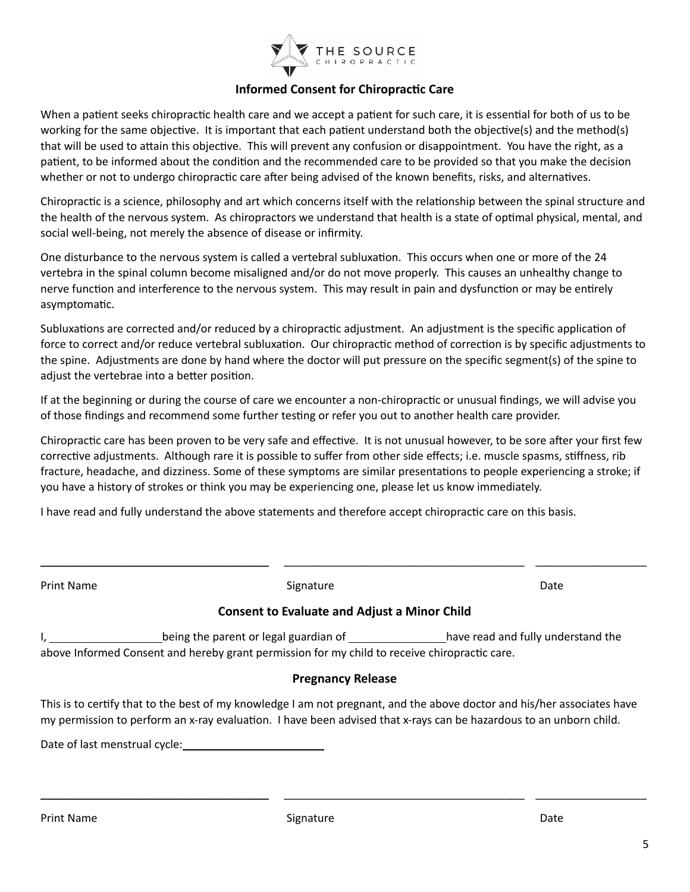

# **Informed Consent for Chiropractic Care**

When a patient seeks chiropractic health care and we accept a patient for such care, it is essential for both of us to be working for the same objective. It is important that each patient understand both the objective(s) and the method(s) that will be used to attain this objective. This will prevent any confusion or disappointment. You have the right, as a patient, to be informed about the condition and the recommended care to be provided so that you make the decision whether or not to undergo chiropractic care after being advised of the known benefits, risks, and alternatives.

Chiropractic is a science, philosophy and art which concerns itself with the relationship between the spinal structure and the health of the nervous system. As chiropractors we understand that health is a state of optimal physical, mental, and social well-being, not merely the absence of disease or infirmity.

One disturbance to the nervous system is called a vertebral subluxation. This occurs when one or more of the 24 vertebra in the spinal column become misaligned and/or do not move properly. This causes an unhealthy change to nerve function and interference to the nervous system. This may result in pain and dysfunction or may be entirely asymptomatic.

Subluxations are corrected and/or reduced by a chiropractic adjustment. An adjustment is the specific application of force to correct and/or reduce vertebral subluxation. Our chiropractic method of correction is by specific adjustments to the spine. Adjustments are done by hand where the doctor will put pressure on the specific segment(s) of the spine to adjust the vertebrae into a better position.

If at the beginning or during the course of care we encounter a non-chiropractic or unusual findings, we will advise you of those findings and recommend some further testing or refer you out to another health care provider.

Chiropractic care has been proven to be very safe and effective. It is not unusual however, to be sore after your first few corrective adjustments. Although rare it is possible to suffer from other side effects; i.e. muscle spasms, stiffness, rib fracture, headache, and dizziness. Some of these symptoms are similar presentations to people experiencing a stroke; if you have a history of strokes or think you may be experiencing one, please let us know immediately.

I have read and fully understand the above statements and therefore accept chiropractic care on this basis.

| Print Name                                                                                                                                                                                                                                                                                                         | Signature                                           |  | Date |  |  |
|--------------------------------------------------------------------------------------------------------------------------------------------------------------------------------------------------------------------------------------------------------------------------------------------------------------------|-----------------------------------------------------|--|------|--|--|
|                                                                                                                                                                                                                                                                                                                    | <b>Consent to Evaluate and Adjust a Minor Child</b> |  |      |  |  |
| being the parent or legal guardian of ________________have read and fully understand the<br><u>1, and the set of the set of the set of the set of the set of the set of the set of the set of the set of the </u><br>above Informed Consent and hereby grant permission for my child to receive chiropractic care. |                                                     |  |      |  |  |
|                                                                                                                                                                                                                                                                                                                    | <b>Pregnancy Release</b>                            |  |      |  |  |
| This is to certify that to the best of my knowledge I am not pregnant, and the above doctor and his/her associates have<br>my permission to perform an x-ray evaluation. I have been advised that x-rays can be hazardous to an unborn child.                                                                      |                                                     |  |      |  |  |
| Date of last menstrual cycle: National Section of Last mention of the United States                                                                                                                                                                                                                                |                                                     |  |      |  |  |
|                                                                                                                                                                                                                                                                                                                    |                                                     |  |      |  |  |
|                                                                                                                                                                                                                                                                                                                    |                                                     |  |      |  |  |

\_\_\_\_\_\_\_\_\_\_\_\_\_\_\_\_\_\_\_\_\_\_\_\_\_\_\_\_\_\_\_\_\_\_\_\_\_ \_\_\_\_\_\_\_\_\_\_\_\_\_\_\_\_\_\_\_\_\_\_\_\_\_\_\_\_\_\_\_\_\_\_\_\_\_\_\_ \_\_\_\_\_\_\_\_\_\_\_\_\_\_\_\_\_\_